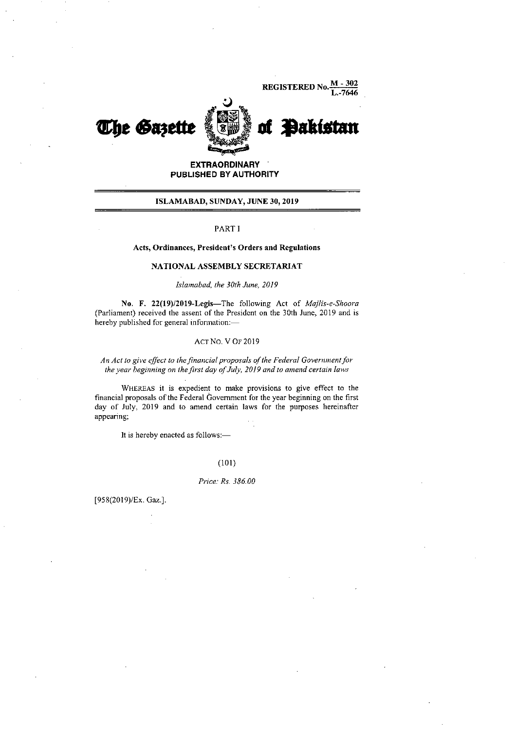REGISTERED N L.-7646



# **EXTRAORDINARY PUBLISHED BY AUTHORITY**

# ISLAMABAD, SUNDAY, JUNE 30, 2019

#### PART I

## Acts, Ordinances, President's Orders and Regulations

# NATIONAL ASSEMBLY SECRETARIAT

### *Islamabad, the 30th June, 2019*

No. F. 22(19)/2019-Legis—The following Act of *Majlis-e-Shoora*  (Parliament) received the assent of the President on the 30th June, 2019 and is hereby published for general infonnation:—

## Acr No. V OF 2019

# *An Act to give effect to the financial proposals of the Federal Government for the year beginning on the first day of July, 2019 and to amend certain laws*

WHEREAS it is expedient to make provisions to give effect to the financial proposals of the Federal Government for the year beginning on the first day of July, 2019 and to amend certain laws for the purposes hereinafter appearing;

It is hereby enacted as follows:—

#### (101)

#### *Price: Rs. 386.00*

[958(2019)/Ex. Gaz.].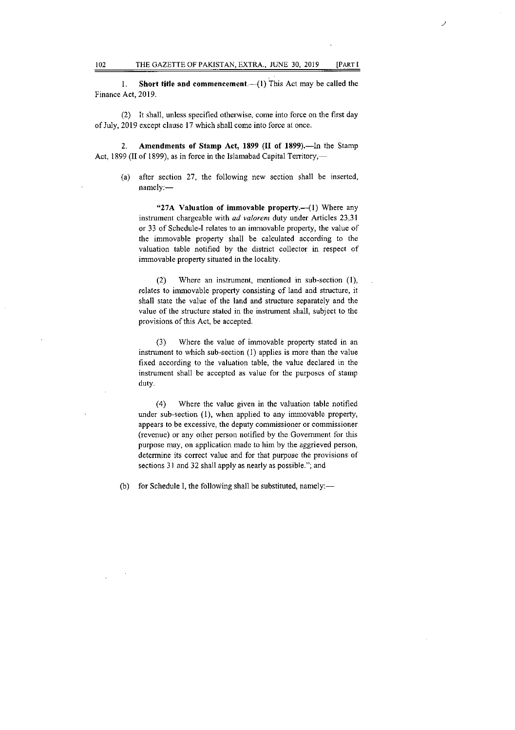Short title and commencement.—(1) This Act may be called the 1. Finance Act, 2019.

(2) It shall, unless specified otherwise, come into force on the first day of July, 2019 except clause 17 which shall come into force at once.

 $2.$ Amendments of Stamp Act, 1899 (II of 1899).—In the Stamp Act, 1899 (II of 1899), as in force in the Islamabad Capital Territory,—

(a) after section 27, the following new section shall be inserted, namely:—

"27A Valuation of immovable property.—(1) Where any instrument chargeable with ad valorem duty under Articles 23,31 or 33 of Schedule-I relates to an immovable property, the value of the immovable property shall be calculated according to the valuation table notified by the district collector in respect of immovable property situated in the locality.

Where an instrument, mentioned in sub-section (1),  $(2)$ relates to immovable property consisting of land and structure, it shall state the value of the land and structure separately and the value of the structure stated in the instrument shall, subject to the provisions of this Act, be accepted.

Where the value of immovable property stated in an  $(3)$ instrument to which sub-section (1) applies is more than the value fixed according to the valuation table, the value declared in the instrument shall be accepted as value for the purposes of stamp duty.

 $(4)$ Where the value given in the valuation table notified under sub-section (1), when applied to any immovable property, appears to be excessive, the deputy commissioner or commissioner (revenue) or any other person notified by the Government for this purpose may, on application made to him by the aggrieved person, determine its correct value and for that purpose the provisions of sections 31 and 32 shall apply as nearly as possible.", and

(b) for Schedule I, the following shall be substituted, namely:—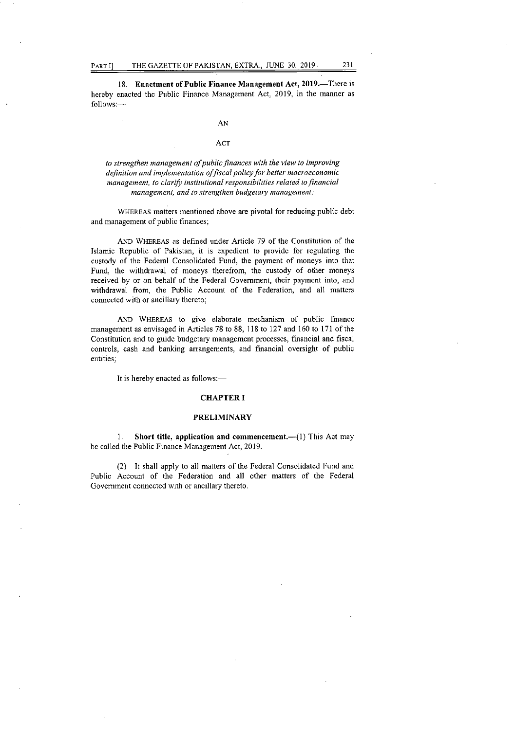18. Enactment of Public Finance Management Act, 2019.—There is hereby enacted the Public Finance Management Act, 2019, in the manner as follows:—

AN

#### ACT

*to strengthen management qfpublic,finances with the view to improving definition and implementation of fiscal policy for better macroeconomic management, to clarify institutional responsibilities related to financial management, and to strengthen budgetaty management;* 

WHEREAS matters mentioned above are pivotal for reducing public debt and management of public finances;

AND WHEREAS as defined under Article 79 of the Constitution of the Islamic Republic of Pakistan, it is expedient to provide for regulating the custody of the Federal Consolidated Fund, the payment of moneys into that Fund, the withdrawal of moneys therefrom, the custody of other moneys received by or on behalf of the Federal Government, their payment into, and withdrawal from, the Public Account of the Federation, and all matters connected with or ancillary thereto;

AND WHEREAS to give elaborate mechanism of public finance management as envisaged in Articles 78 to 88, 118 to 127 and 160 to 171 of the Constitution and to guide budgetary management processes, financial and fiscal controls, cash and banking arrangements, and financial oversight of public entities;

It is hereby enacted as follows:—

#### CHAPTER I

# PRELIMINARY

1. Short title, application and commencement.—(1) This Act may be called the Public Finance Management Act, 2019.

(2) It shall apply to all matters of the Federal Consolidated Fund and Public Account of the Federation and all other matters of the Federal Government connected with or ancillary thereto.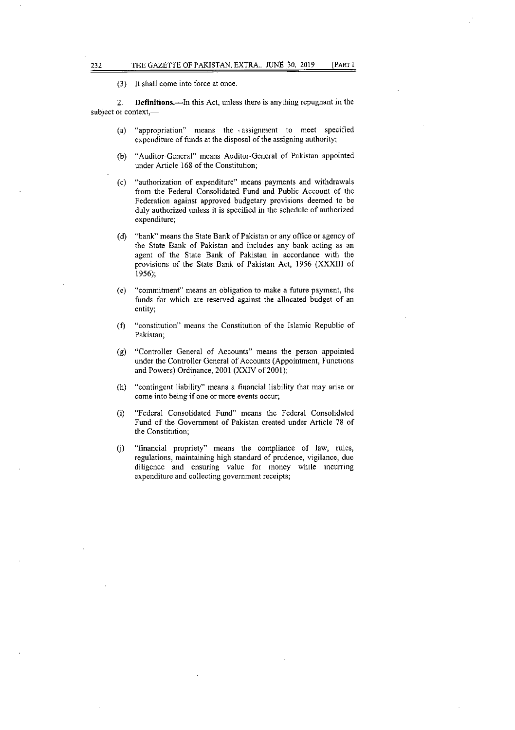(3) It shall come into force at once.

2. Definitions.—In this Act, unless there is anything repugnant in the subject or context,—

- "appropriation" means the , assignment to meet specified  $(a)$ expenditure of funds at the disposal of the assigning authority;
- $(b)$ "Auditor-General" means Auditor-General of Pakistan appointed under Article 168 of the Constitution;
- "authorization of expenditure" means payments and withdrawals  $(c)$ from the Federal Consolidated Fund and Public Account of the Federation against approved budgetary provisions deemed to be duly authorized unless it is specified in the schedule of authorized expenditure;
- "bank" means the State Bank of Pakistan or any office or agency of  $(d)$ the State Bank of Pakistan and includes any bank acting as an agent of the State Bank of Pakistan in accordance with the provisions of the State Bank of Pakistan Act, 1956 (XXXIII of 1956);
- "commitment" means an obligation to make a future payment, the  $(e)$ funds for which are reserved against the allocated budget of an entity;
- "constitution" means the Constitution of the Islamic Republic of  $(f)$ Pakistan;
- "Controller General of Accounts" means the person appointed (g) under the Controller General of Accounts (Appointment, Functions and Powers) Ordinance, 2001 (XXIV of 2001);
- $(h)$ "contingent liability" means a financial liability that may arise or come into being if one or more events occur;
- "Federal Consolidated Fund" means the Federal Consolidated  $(i)$ Fund of the Government of Pakistan created under Article 78 of the Constitution;
- "financial propriety" means the compliance of law, rules,  $(i)$ regulations, maintaining high standard of prudence, vigilance, due diligence and ensuring value for money while incurring expenditure and collecting government receipts;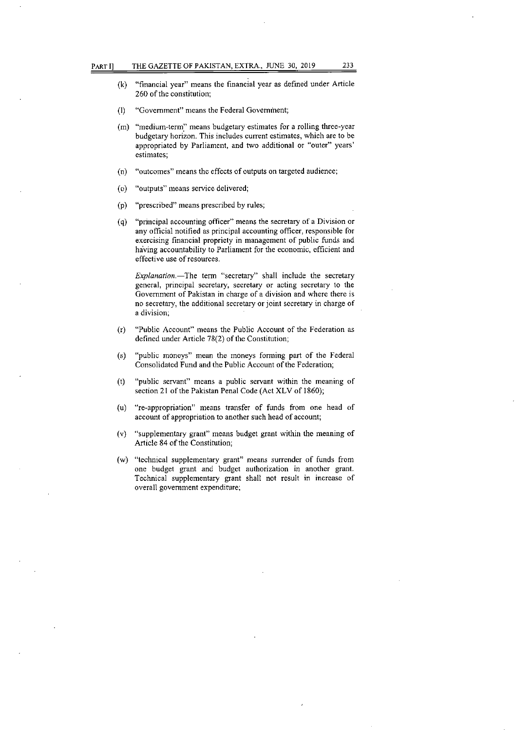- (k) "financial year" means the financial year as defined under Article 260 of the constitution;
- (I) "Government" means the Federal Government;
- (m) "medium-term" means budgetary estimates for a rolling three-year budgetary horizon. This includes current estimates, which are to be appropriated by Parliament, and two additional or "outer" years' estimates;
- "outcomes" means the effects of outputs on targeted audience;  $(n)$
- "outputs" means service delivered;  $\circ$
- "prescribed" means prescribed by rules;  $(p)$
- "principal accounting officer" means the secretary of a Division or  $(q)$ any official notified as principal accounting officer, responsible for exercising financial propriety in management of public funds and having accountability to Parliament for the economic, efficient and effective use of resources.

*Explanation.—The* term "secretary" shall include the secretary general, principal secretary, secretary or acting secretary to the Government of Pakistan in charge of a division and where there is no secretary, the additional secretary or joint secretary in charge of a division;

- "Public Account" means the Public Account of the Federation as  $(r)$ defined under Article 78(2) of the Constitution;
- "public moneys" mean the moneys forming part of the Federal  $(s)$ Consolidated Fund and the Public Account of the Federation;
- "public servant" means a public servant within the meaning of  $(t)$ section 21 of the Pakistan Penal Code (Act XLV of 1860);
- "re-appropriation" means transfer of funds from one head of  $(u)$ account of appropriation to another such head of account;
- "supplementary grant" means budget grant within the meaning of  $(v)$ Article 84 of the Constitution;
- (w) "technical supplementary grant" means surrender of funds from one budget grant and budget authorization in another grant. Technical supplementary grant shall not result in increase of overall govemment expenditure;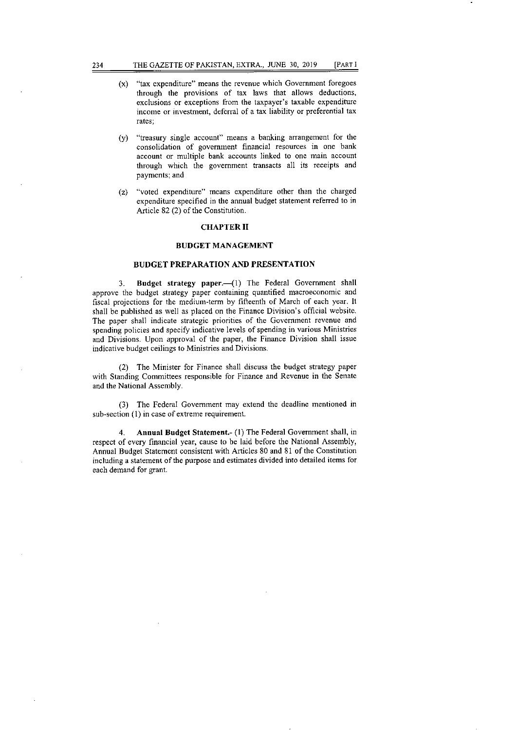- (x) "tax expenditure" means the revenue which Government foregoes through the provisions of tax laws that allows deductions, exclusions or exceptions from the taxpayer's taxable expenditure income or investment, deferral of a tax liability or preferential tax rates;
- (31) "treasury single account" means a banking arrangement for the consolidation of government financial resources in one bank account or multiple bank accounts linked to one main account through which the government transacts all its receipts and payments; and
- (z) "voted expenditure" means expenditure other than the charged expenditure specified in the annual budget statement referred to in Article 82(2) of the Constitution.

#### CHAPTER II

### BUDGET MANAGEMENT

# BUDGET PREPARATION AND PRESENTATION

3. Budget strategy paper.—(l) The Federal Government shall approve the budget strategy paper containing quantified macroeconomic and fiscal projections for the medium-term by fifteenth of March of each year. It shall be published as well as placed on the Finance Division's official website. The paper shall indicate strategic priorities of the Government revenue and spending policies and specify indicative levels of spending in various Ministries and Divisions. Upon approval of the paper, the Finance Division shall issue indicative budget ceilings to Ministries and Divisions.

The Minister for Finance shall discuss the budget strategy paper with Standing Committees responsible for Finance and Revenue in the Senate and the National Assembly.

The Federal Government may extend the deadline mentioned in sub-section (1) in case of extreme requirement.

4. Annual Budget Statement.- (1) The Federal Government shall, in respect of every financial year, cause to be laid before the National Assembly, Annual Budget Statement consistent with Articles 80 and 81 of the Constitution including a statement of the purpose and estimates divided into detailed items for each demand for grant.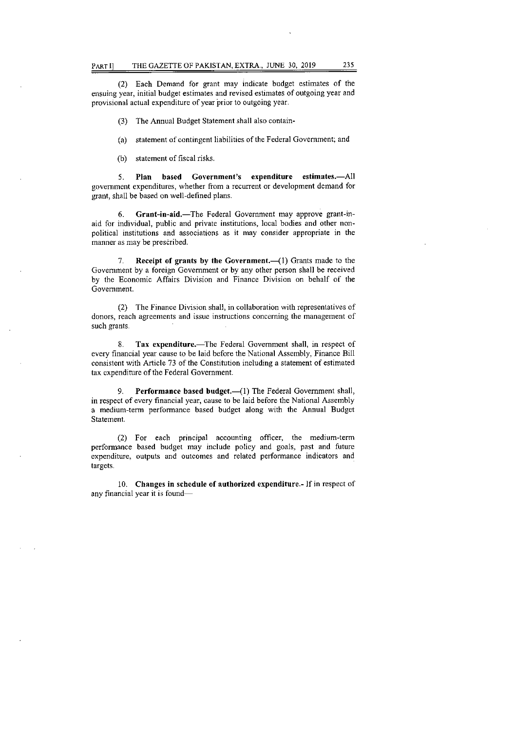Each Demand for grant may indicate budget estimates of the ensuing year, initial budget estimates and revised estimates of outgoing year and provisional actual expenditure of year prior to outgoing year.

The Annual Budget Statement shall also contain-

statement of contingent liabilities of the Federal Government; and  $(a)$ 

statement of fiscal risks.  $(b)$ 

Plan based Government's expenditure estimates.—All  $5<sub>1</sub>$ government expenditures, whether from a recurrent or development demand for grant, shall be based on well-defined plans.

Grant-in-aid.—The Federal Government may approve grant-in-6. aid for individual, public and private institutions, local bodies and other nonpolitical institutions and associations as it may consider appropriate in the manner as may be prescribed.

Receipt of grants by the Government.—(1) Grants made to the 7. Government by a foreign Government or by any other person shall be received by the Economic Affairs Division and Finance Division on behalf of the Government.

(2) The Finance Division shall, in collaboration with representatives of donors, reach agreements and issue instructions concerning the management of such grants.

Tax expenditure.—The Federal Government shall, in respect of  $8$ every financial year cause to be laid before the National Assembly, Finance Bill consistent with Article 73 of the Constitution including a statement of estimated tax expenditure of the Federal Government.

9. Performance based budget.—(1) The Federal Government shall, in respect of every financial year, cause to be laid before the National Assembly a medium-term performance based budget along with the Annual Budget Statement.

(2) For each principal accounting officer, the medium-term performance based budget may include policy and goals, past and future expenditure, outputs and outcomes and related performance indicators and targets.

Changes in schedule of authorized expenditure.- If in respect of any financial year it is found—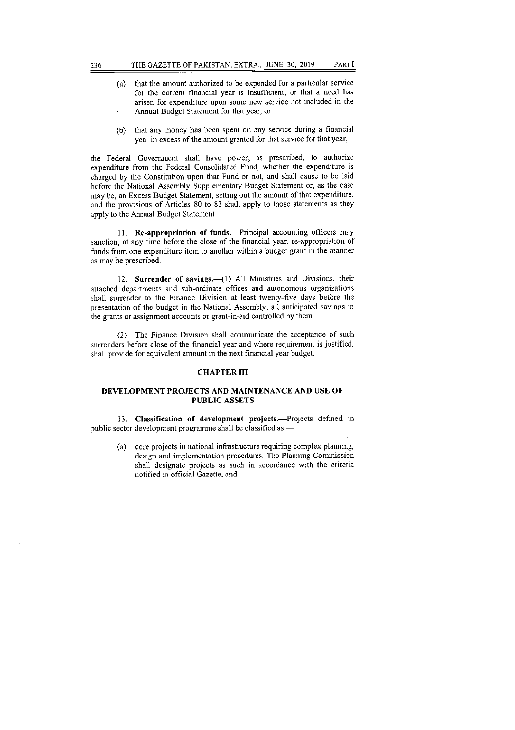- that the amount authorized to be expended for a particular service  $(a)$ for the current financial year is insufficient, or that a need has arisen for expenditure upon some new service not included in the Annual Budget Statement for that year; or
- (b) that any money has been spent on any service during a financial year in excess of the amount granted for that service for that year,

the Federal Government shall have power, as prescribed, to authorize expenditure from the Federal Consolidated Fund, whether the expenditure is charged by the Constitution upon that Fund or not, and shall cause to be laid before the National Assembly Supplementary Budget Statement or, as the case may be, an Excess Budget Statement, setting out the amount of that expenditure, and the provisions of Articles 80 to 83 shall apply to those statements as they apply to the Annual Budget Statement.

11. Re-appropriation of funds.—Principal accounting officers may sanction, at any time before the close of the financial year, re-appropriation of funds from one expenditure item to another within a budget grant in the manner as may be prescribed.

12. Surrender of savings.—(1) All Ministries and Divisions, their attached departments and sub-ordinate offices and autonomous organizations shall surrender to the Finance Division at least twenty-five days before the presentation of the budget in the National Assembly, all anticipated savings in the grants or assignment accounts or grant-in-aid controlled by them.

(2) The Finance Division shall communicate the acceptance of such surrenders before close of the financial year and where requirement is justified, shall provide for equivalent amount in the next financial year budget.

#### CHAPTER III

## DEVELOPMENT PROJECTS AND MAINTENANCE AND USE OF PUBLIC ASSETS

Classification of development projects.—Projects defined in public sector development programme shall be classified as:—

(a) core projects in national infrastructure requiring complex planning, design and implementation procedures. The Planning Commission shall designate projects as such in accordance with the criteria notified in official Gazette; and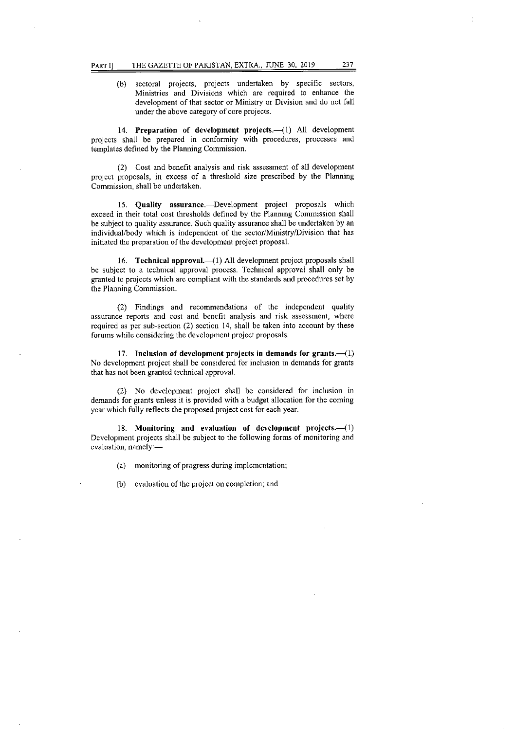(b) sectoral projects, projects undertaken by specific sectors, Ministries and Divisions which are required to enhance the development of that sector or Ministry or Division and do not fall under the above category of core projects.

14. Preparation of development projects.-(1) All development projects shall be prepared in conformity with procedures, processes and templates defined by the Planning Commission.

(2) Cost and benefit analysis and risk assessment of all development project proposals, in excess of a threshold size prescribed by the Planning Commission, shall be undertaken.

Quality assurance.—Development project proposals which exceed in their total cost thresholds defined by the Planning Commission shall be subject to quality assurance. Such quality assurance shall be undertaken by an individual/body which is independent of the sector/Ministry/Division that has initiated the preparation of the development project proposal.

Technical approval.—(1) All development project proposals shall be subject to a technical approval process. Technical approval shall only be granted to projects which are compliant with the standards and procedures set by the Planning Commission.

(2) Findings and recommendations of the independent quality assurance reports and cost and benefit analysis and risk assessment, where required as per sub-section (2) section 14, shall be taken into account by these forums while considering the development project proposals.

17. Inclusion of development projects in demands for grants.—(1) No development project shall be considered for inclusion in demands for grants that has not been granted technical approval.

(2) No development project shall be considered for inclusion in demands for grants unless it is provided with a budget allocation for the coming year which fully reflects the proposed project cost for each year.

18. Monitoring and evaluation of development projects.--(1) Development projects shall be subject to the following forms of monitoring and evaluation, namely:—

monitoring of progress during implementation;

(b) evaluation of the project on completion; and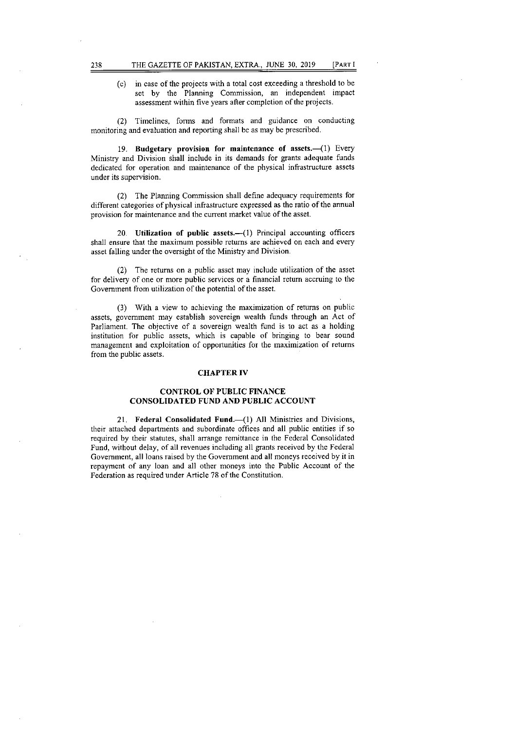(c) in case of the projects with a total cost exceeding a threshold to be set by the Planning Commission, an independent impact assessment within five years after completion of the projects.

(2) Timelines, forms and formats and guidance on conducting monitoring and evaluation and reporting shall be as may be prescribed.

19. Budgetary provision for maintenance of assets.—(1) Every Ministry and Division shall include in its demands for grants adequate funds dedicated for operation and maintenance of the physical infrastructure assets under its supervision.

(2) The Planning Commission shall define adequacy requirements for different categories of physical infrastructure expressed as the ratio of the annual provision for maintenance and the current market value of the asset.

20. Utilization of public assets.—(1) Principal accounting officers shall ensure that the maximum possible returns are achieved on each and every asset falling under the oversight of the Ministry and Division.

The returns on a public asset may include utilization of the asset for delivery of one or more public services or a financial return accruing to the Government from utilization of the potential of the asset.

With a view to achieving the maximization of returns on public assets, government may establish sovereign wealth funds through an Act of Parliament. The objective of a sovereign wealth fund is to act as a holding institution for public assets, which is capable of bringing to bear sound management and exploitation of opportunities for the maximization of returns from the public assets.

### CHAPTER IV

# CONTROL OF PUBLIC FINANCE CONSOLIDATED FUND AND PUBLIC ACCOUNT

21. Federal Consolidated Fund.—(1) All Ministries and Divisions, their attached departments and subordinate offices and all public entities if so required by their statutes, shall arrange remittance in the Federal Consolidated Fund, without delay, of all revenues including all grants received by the Federal Government, all loans raised by the Government and all moneys received by it in repayment of any loan and all other moneys into the Public Account of the Federation as required under Article 78 of the Constitution.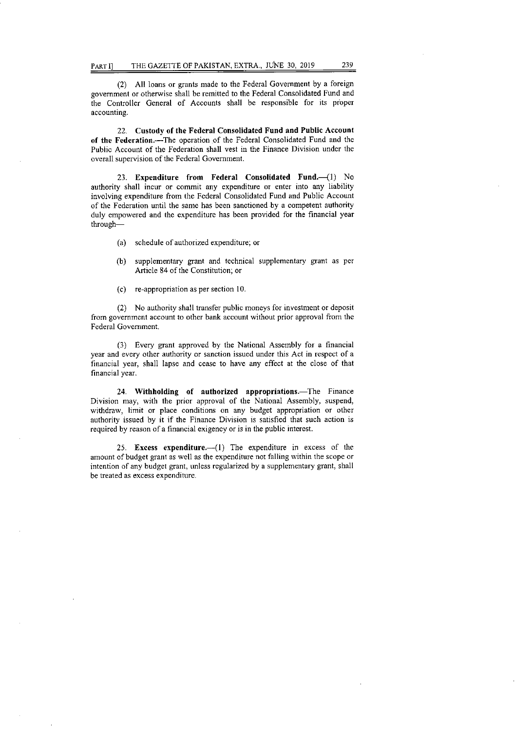(2) All loans or grants made to the Federal Government by a foreign government or otherwise shall be remitted to the Federal Consolidated Fund and the Controller General of Accounts shall be responsible for its proper accounting.

22. Custody of the Federal Consolidated Fund and Public Account of the Federation.—The operation of the Federal Consolidated Fund and the Public Account of the Federation shall vest in the Finance Division under the overall supervision of the Federal Government.

23. Expenditure from Federal Consolidated Fund.—(1) No authority shall incur or commit any expenditure or enter into any liability involving expenditure from the Federal Consolidated Fund and Public Account of the Federation until the same has been sanctioned by a competent authority duly empowered and the expenditure has been provided for the financial year through—

- schedule of authorized expenditure; or
- supplementary grant and technical supplementary grant as per  $(b)$ Article 84 of the Constitution; or
- re-appropriation as per section 10.

No authority shall transfer public moneys for investment or deposit from government account to other bank account without prior approval from the Federal Government.

Every grant approved by the National Assembly for a financial year and every other authority or sanction issued under this Act in respect of a financial year, shall lapse and cease to have any effect at the close of that financial year.

24. Withholding of authorized appropriations.—The Finance Division may, with the prior approval of the National Assembly, suspend, withdraw, limit or place conditions on any budget appropriation or other authority issued by it if the Finance Division is satisfied that such action is required by reason of a financial exigency or is in the public interest.

25. Excess expenditure.—(1) The expenditure in excess of the amount of budget grant as well as the expenditure not falling within the scope or intention of any budget grant, unless regularized by a supplementary grant, shall be treated as excess expenditure.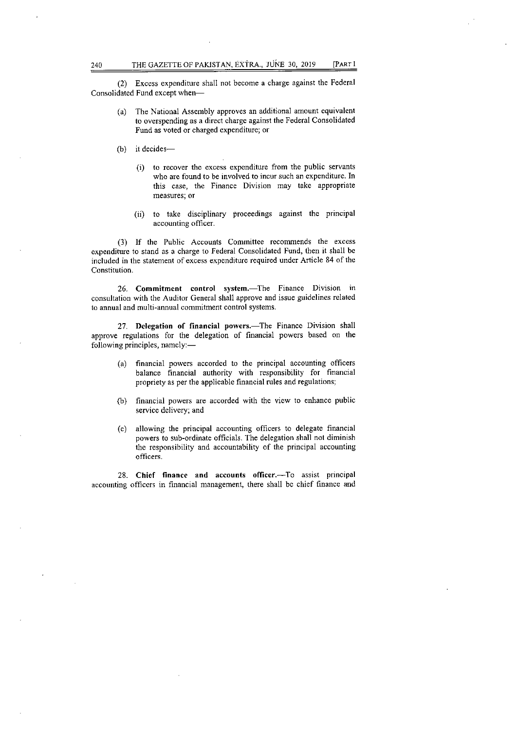(2) Excess expenditure shall not become a charge against the Federal Consolidated Fund except when—

- The National Assembly approves an additional amount equivalent to overspending as a direct charge against the Federal Consolidated Fund as voted or charged expenditure; or
- (b) it decides
	- to recover the excess expenditure from the public servants who are found to be involved to incur such an expenditure. In this case, the Finance Division may take appropriate measures; or
	- to take disciplinary proceedings against the principal  $(ii)$ accounting officer.

(3) If the Public Accounts Committee recommends the excess expenditure to stand as a charge to Federal Consolidated Fund, then it shall be included in the statement of excess expenditure required under Article 84 of the Constitution.

26. Commitment control system.—The Finance Division in consultation with the Auditor General shall approve and issue guidelines related to annual and multi-annual commitment control systems.

27. Delegation of financial powers.—The Finance Division shall approve regulations for the delegation of financial powers based on the following principles, namely:—

- financial powers accorded to the principal accounting officers  $(a)$ balance financial authority with responsibility for financial propriety as per the applicable financial rules and regulations;
- financial powers are accorded with the view to enhance public service delivery; and
- allowing the principal accounting officers to delegate financial  $(c)$ powers to sub-ordinate officials. The delegation shall not diminish the responsibility and accountability of the principal accounting officers.

28. Chief finance and accounts officer.—To assist principal accounting officers in financial management, there shall be chief finance and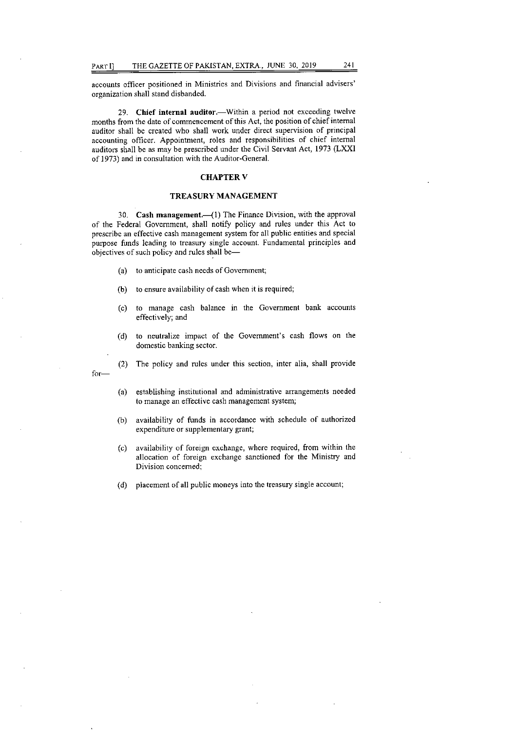accounts officer positioned in Ministries and Divisions and financial advisers' organization shall stand disbanded.

Chief internal auditor.—Within a period not exceeding twelve months from the date of commencement of this Act, the position of chief internal auditor shall be created who shall work under direct supervision of principal accounting officer. Appointment, roles and responsibilities of chief internal auditors shall be as may be prescribed under the Civil Servant Act, 1973 (LXXI of 1973) and in consultation with the Auditor-General.

#### CHAPTER V

### TREASURY MANAGEMENT

Cash management.—(l) The Finance Division, with the approval of the Federal Government, shall notify policy and rules under this Act to prescribe an effective cash management system for all public entities and special purpose funds leading to treasury single account. Fundamental principles and objectives of such policy and rules shall be—

(a) to anticipate cash needs of Government;

for—

- to ensure availability of cash when it is required;  $(b)$
- to manage cash balance in the Government bank accounts  $(c)$ effectively; and
- to neutralize impact of the Government's cash flows on the  $(d)$ domestic banking sector.
- (2) The policy and rules under this section, inter alia, shall provide
- $(a)$ establishing institutional and administrative arrangements needed to manage an effective cash management system;
- $(b)$ availability of funds in accordance with schedule of authorized expenditure or supplementary grant;
- $(c)$ availability of foreign exchange, where required, from within the allocation of foreign exchange sanctioned for the Ministry and Division concerned;
- (d) placement of all public moneys into the treasury single account;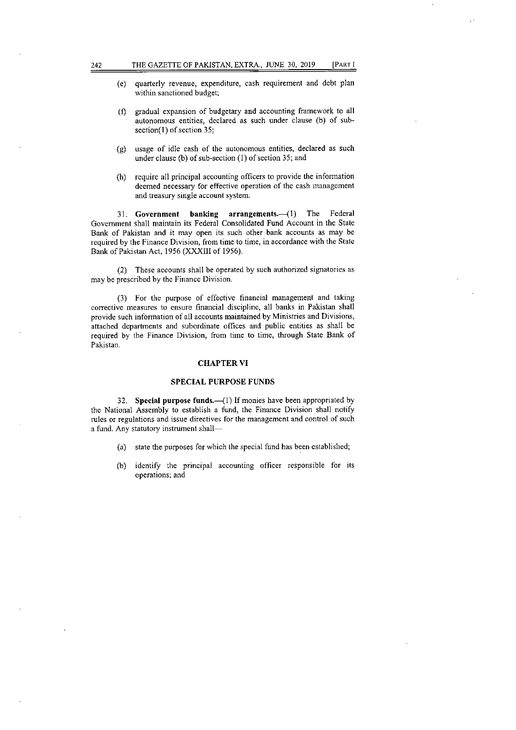- quarterly revenue, expenditure, cash requirement and debt plan  $(e)$ within sanctioned budget;
- gradual expansion of budgetary and accounting framework to all  $(f)$ autonomous entities, declared as such under clause (b) of subsection(1) of section 35;
- usage of idle cash of the autonomous entities, declared as such  $(g)$ under clause (b) of sub-section (1) of section 35; and
- (h) require all principal accounting officers to provide the information deemed necessary for effective operation of the cash management and treasury single account system.

31. Government banking arrangements.—(1) The Federal Government shall maintain its Federal Consolidated Fund Account in the State Bank of Pakistan and it may open its such other bank accounts as may be required by the Finance Division, from time to time, in accordance with the State Bank of Pakistan Act, 1956 (XXXIII of 1956).

These accounts shall be operated by such authorized signatories as may be prescribed by the Finance Division.

For the purpose of effective financial management and taking corrective measures to ensure financial discipline, all banks in Pakistan shall provide such information of all accounts maintained by Ministries and Divisions, attached departments and subordinate offices and public entities as shall be required by the Finance Division, from time to time, though State Bank of Pakistan.

### CHAPTER VI

### SPECIAL PURPOSE FUNDS

32. Special purpose funds.—(1) If monies have been appropriated by the National Assembly to establish a fund, the Finance Division shall notify rules or regulations and issue directives for the management and control of such a fund. Any statutory instrument shall—

- (a) state the purposes for which the special fund has been established;
- $(b)$ identify the principal accounting officer responsible for its operations; and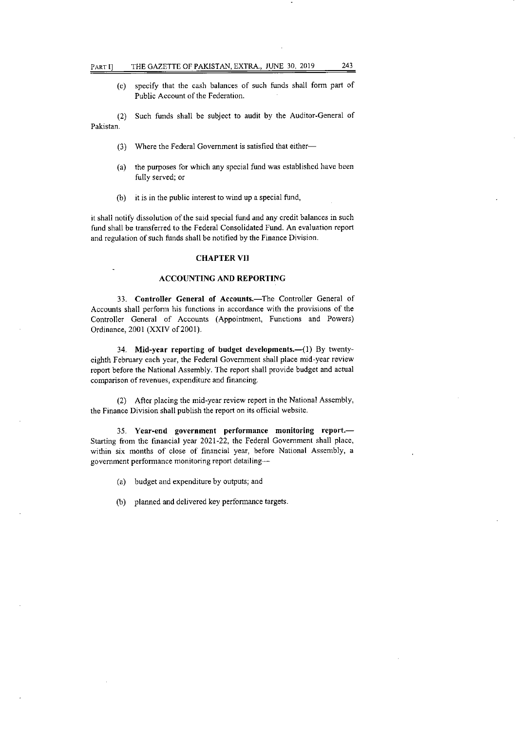specify that the cash balances of such funds shall form part of Public Account of the Federation.

Such funds shall be subject to audit by the Auditor-General of  $(2)$ Pakistan.

- $(3)$ Where the Federal Government is satisfied that either—
- (a) the purposes for which any special fund was established have been fully served; or
- $(b)$  it is in the public interest to wind up a special fund,

it shall notify dissolution of the said special fund and any credit balances in such fund shall be transferred to the Federal Consolidated Fund. An evaluation report and regulation of such funds shall be notified by the Finance Division.

# CHAPTER VII

## ACCOUNTING AND REPORTING

33. Controller General of Accounts.-The Controller General of Accounts shall perform his functions in accordance with the provisions of the Controller General of Accounts (Appointment, Functions and Powers) Ordinance, 2001 (XXIV of 2001).

Mid-year reporting of budget developments.—(1) By twentyeighth February each year, the Federal Government shall place mid-year review report before the National Assembly. The report shall provide budget and actual comparison of revenues, expenditure and financing.

(2) After placing the mid-year review report in the National Assembly, the Finance Division shall publish the report on its official website.

Year-end government performance monitoring report.— Starting from the financial year 2021-22, the Federal Government shall place, within six months of close of financial year, before National Assembly, a government performance monitoring report detailing—

budget and expenditure by outputs; and

planned and delivered key performance targets.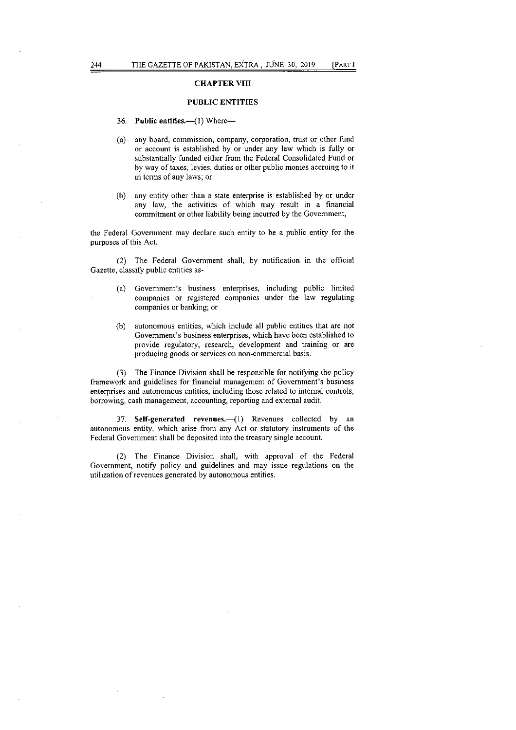### CHAPTER VIII

### PUBLIC ENTITIES

- 36. Public entities.—(1) Where—
- any board, commission, company, corporation, trust or other fund or account is established by or under any law which is fully or substantially funded either from the Federal Consolidated Fund or by way of taxes, levies, duties or other public monies accruing to it in terms of any laws; or
- $(b)$ any entity other than a state enterprise is established by or under any law, the activities of which may result in a financial commitment or other liability being incurred by the Government,

the Federal Government may declare such entity to be a public entity for the purposes of this Act.

(2) The Federal Government shall, by notification in the official Gazette, classify public entities as-

- Government's business enterprises, including public limited  $(a)$ companies or registered companies under the law regulating companies or banking; or
- autonomous entities, which include all public entities that are not Government's business enterprises, which have been established to provide regulatory, research, development and training or are producing goods or services on non-commercial basis.

(3) The Finance Division shall be responsible for notifying the policy framework and guidelines for financial management of Government's business enterprises and autonomous entities, including those related to internal controls, borrowing, cash management, accounting, reporting and external audit.

37. Self-generated revenues.—(1) Revenues collected by an autonomous entity, which arise from any Act or statutory instruments of the Federal Government shall be deposited into the treasury single account.

(2) The Finance Division shall, with approval of the Federal Government, notify policy and guidelines and may issue regulations on the utilization of revenues generated by autonomous entities.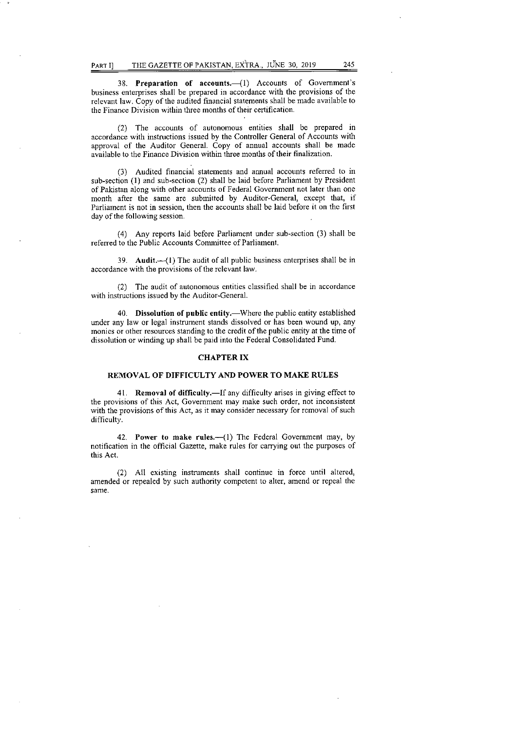38. **Preparation of accounts.—(1)** Accounts of Government's business enterprises shall be prepared in accordance with the provisions of the relevant law. Copy of the audited financial statements shall be made available to the Finance Division within three months of their certification.

The accounts of autonomous entities shall be prepared in accordance with instructions issued by the Controller General of Accounts with approval of the Auditor General. Copy of annual accounts shall be made available to the Finance Division within three months of their finalization.

Audited financial statements and annual accounts referred to in sub-section (1) and sub-section (2) shall be laid before Parliament by President of Pakistan along with other accounts of Federal Government not later than one month after the same are submitted by Auditor-General, except that, if Parliament is not in session, then the accounts shall be laid before it on the first day of the following session.

Any reports laid before Parliament under sub-section (3) shall be referred to the Public Accounts Committee of Parliament.

39. **Audit.—(1)** The audit of all public business enterprises shall be in accordance with the provisions of the relevant law.

(2) The audit of autonomous entities classified shall be in accordance with instructions issued by the Auditor-General.

40. **Dissolution of public entity.—Where** the public entity established under any law or legal instrument stands dissolved or has been wound up, any monies or other resources standing to the credit of the public entity at the time of dissolution or winding up shall be paid into the Federal Consolidated Fund.

#### **CHAPTER IX**

#### **REMOVAL OF DIFFICULTY AND POWER TO MAKE RULES**

**41. Removal of difficulty.—If** any difficulty arises in giving effect to the provisions of this Act, Government may make such order, not inconsistent with the provisions of this Act, as it may consider necessary for removal of such difficulty.

42. **Power to make rules.—(1)** The Federal Government may, by notification in the official Gazette, make rules for carrying out the purposes of this Act.

(2) All existing instruments shall continue in force until altered, amended or repealed by such authority competent to alter, amend or repeal the same.